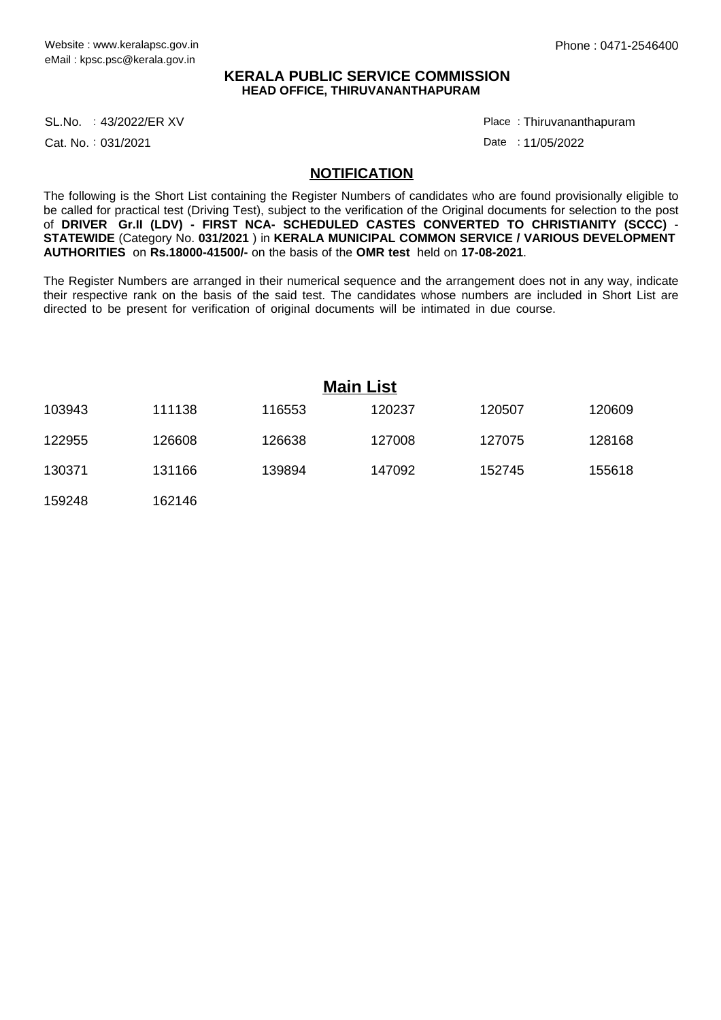## **KERALA PUBLIC SERVICE COMMISSION HEAD OFFICE, THIRUVANANTHAPURAM**

43/2022/ER XV Place : SL.No.

Cat. No.: 031/2021

Thiruvananthapuram :

Date: 11/05/2022

## **NOTIFICATION**

The following is the Short List containing the Register Numbers of candidates who are found provisionally eligible to be called for practical test (Driving Test), subject to the verification of the Original documents for selection to the post of **DRIVER Gr.II (LDV) - FIRST NCA- SCHEDULED CASTES CONVERTED TO CHRISTIANITY (SCCC)** - **STATEWIDE** (Category No. **031/2021** ) in **KERALA MUNICIPAL COMMON SERVICE / VARIOUS DEVELOPMENT AUTHORITIES** on **Rs.18000-41500/-** on the basis of the **OMR test** held on **17-08-2021**.

The Register Numbers are arranged in their numerical sequence and the arrangement does not in any way, indicate their respective rank on the basis of the said test. The candidates whose numbers are included in Short List are directed to be present for verification of original documents will be intimated in due course.

|        |        | <b>Main List</b> |        |        |        |
|--------|--------|------------------|--------|--------|--------|
| 103943 | 111138 | 116553           | 120237 | 120507 | 120609 |
| 122955 | 126608 | 126638           | 127008 | 127075 | 128168 |
| 130371 | 131166 | 139894           | 147092 | 152745 | 155618 |
| 159248 | 162146 |                  |        |        |        |